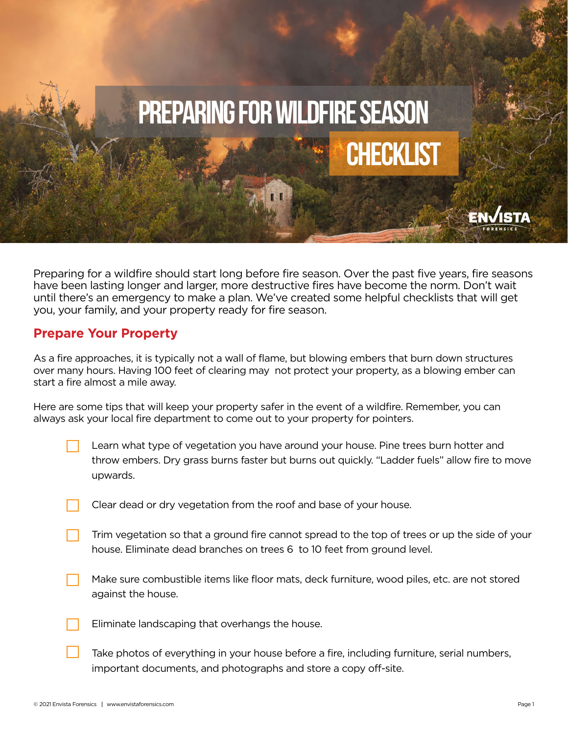

Preparing for a wildfire should start long before fire season. Over the past five years, fire seasons have been lasting longer and larger, more destructive fires have become the norm. Don't wait until there's an emergency to make a plan. We've created some helpful checklists that will get you, your family, and your property ready for fire season.

## **Prepare Your Property**

As a fire approaches, it is typically not a wall of flame, but blowing embers that burn down structures over many hours. Having 100 feet of clearing may not protect your property, as a blowing ember can start a fire almost a mile away.

Here are some tips that will keep your property safer in the event of a wildfire. Remember, you can always ask your local fire department to come out to your property for pointers.

- Learn what type of vegetation you have around your house. Pine trees burn hotter and throw embers. Dry grass burns faster but burns out quickly. "Ladder fuels" allow fire to move upwards.
- Clear dead or dry vegetation from the roof and base of your house.
- Trim vegetation so that a ground fire cannot spread to the top of trees or up the side of your house. Eliminate dead branches on trees 6 to 10 feet from ground level.
- Make sure combustible items like floor mats, deck furniture, wood piles, etc. are not stored against the house.
- Eliminate landscaping that overhangs the house.
- Take photos of everything in your house before a fire, including furniture, serial numbers, important documents, and photographs and store a copy off-site.